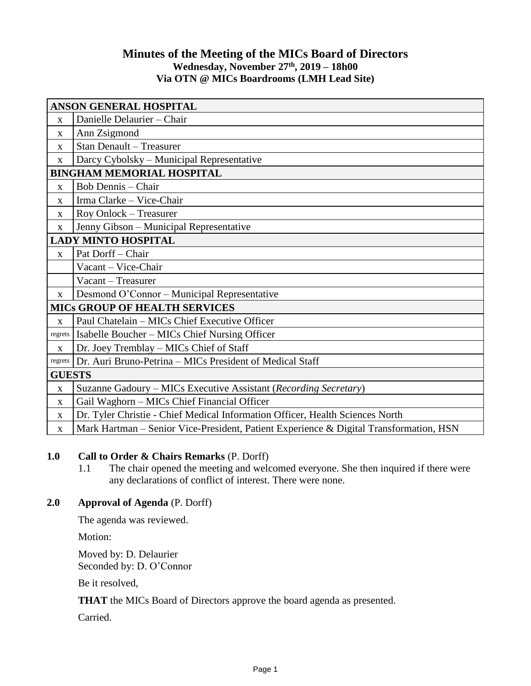## **Minutes of the Meeting of the MICs Board of Directors Wednesday, November 27 th , 2019 – 18h00 Via OTN @ MICs Boardrooms (LMH Lead Site)**

| <b>ANSON GENERAL HOSPITAL</b>        |                                                                                        |
|--------------------------------------|----------------------------------------------------------------------------------------|
| X                                    | Danielle Delaurier - Chair                                                             |
| X                                    | Ann Zsigmond                                                                           |
| $\mathbf X$                          | <b>Stan Denault - Treasurer</b>                                                        |
| X                                    | Darcy Cybolsky - Municipal Representative                                              |
| <b>BINGHAM MEMORIAL HOSPITAL</b>     |                                                                                        |
| X                                    | <b>Bob Dennis - Chair</b>                                                              |
| X                                    | Irma Clarke - Vice-Chair                                                               |
| X                                    | Roy Onlock - Treasurer                                                                 |
| $\mathbf X$                          | Jenny Gibson - Municipal Representative                                                |
| <b>LADY MINTO HOSPITAL</b>           |                                                                                        |
| $\mathbf X$                          | Pat Dorff - Chair                                                                      |
|                                      | Vacant - Vice-Chair                                                                    |
|                                      | Vacant - Treasurer                                                                     |
| X                                    | Desmond O'Connor - Municipal Representative                                            |
| <b>MICS GROUP OF HEALTH SERVICES</b> |                                                                                        |
| $\mathbf X$                          | Paul Chatelain – MICs Chief Executive Officer                                          |
| regrets                              | Isabelle Boucher - MICs Chief Nursing Officer                                          |
| X                                    | Dr. Joey Tremblay - MICs Chief of Staff                                                |
| regrets                              | Dr. Auri Bruno-Petrina - MICs President of Medical Staff                               |
| <b>GUESTS</b>                        |                                                                                        |
| $\mathbf X$                          | Suzanne Gadoury – MICs Executive Assistant (Recording Secretary)                       |
| $\mathbf{X}$                         | Gail Waghorn - MICs Chief Financial Officer                                            |
| X                                    | Dr. Tyler Christie - Chief Medical Information Officer, Health Sciences North          |
| $\mathbf X$                          | Mark Hartman - Senior Vice-President, Patient Experience & Digital Transformation, HSN |

### **1.0 Call to Order & Chairs Remarks** (P. Dorff)

1.1 The chair opened the meeting and welcomed everyone. She then inquired if there were any declarations of conflict of interest. There were none.

## **2.0 Approval of Agenda** (P. Dorff)

The agenda was reviewed.

Motion:

Moved by: D. Delaurier Seconded by: D. O'Connor

Be it resolved,

**THAT** the MICs Board of Directors approve the board agenda as presented.

Carried.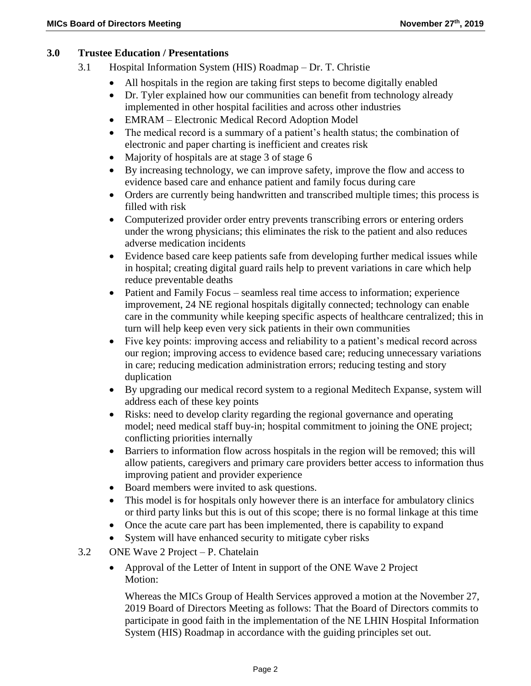#### **3.0 Trustee Education / Presentations**

- 3.1 Hospital Information System (HIS) Roadmap Dr. T. Christie
	- All hospitals in the region are taking first steps to become digitally enabled
	- Dr. Tyler explained how our communities can benefit from technology already implemented in other hospital facilities and across other industries
	- EMRAM Electronic Medical Record Adoption Model
	- The medical record is a summary of a patient's health status; the combination of electronic and paper charting is inefficient and creates risk
	- Majority of hospitals are at stage 3 of stage 6
	- By increasing technology, we can improve safety, improve the flow and access to evidence based care and enhance patient and family focus during care
	- Orders are currently being handwritten and transcribed multiple times; this process is filled with risk
	- Computerized provider order entry prevents transcribing errors or entering orders under the wrong physicians; this eliminates the risk to the patient and also reduces adverse medication incidents
	- Evidence based care keep patients safe from developing further medical issues while in hospital; creating digital guard rails help to prevent variations in care which help reduce preventable deaths
	- Patient and Family Focus seamless real time access to information; experience improvement, 24 NE regional hospitals digitally connected; technology can enable care in the community while keeping specific aspects of healthcare centralized; this in turn will help keep even very sick patients in their own communities
	- Five key points: improving access and reliability to a patient's medical record across our region; improving access to evidence based care; reducing unnecessary variations in care; reducing medication administration errors; reducing testing and story duplication
	- By upgrading our medical record system to a regional Meditech Expanse, system will address each of these key points
	- Risks: need to develop clarity regarding the regional governance and operating model; need medical staff buy-in; hospital commitment to joining the ONE project; conflicting priorities internally
	- Barriers to information flow across hospitals in the region will be removed; this will allow patients, caregivers and primary care providers better access to information thus improving patient and provider experience
	- Board members were invited to ask questions.
	- This model is for hospitals only however there is an interface for ambulatory clinics or third party links but this is out of this scope; there is no formal linkage at this time
	- Once the acute care part has been implemented, there is capability to expand
	- System will have enhanced security to mitigate cyber risks
- 3.2 ONE Wave 2 Project P. Chatelain
	- Approval of the Letter of Intent in support of the ONE Wave 2 Project Motion:

Whereas the MICs Group of Health Services approved a motion at the November 27, 2019 Board of Directors Meeting as follows: That the Board of Directors commits to participate in good faith in the implementation of the NE LHIN Hospital Information System (HIS) Roadmap in accordance with the guiding principles set out.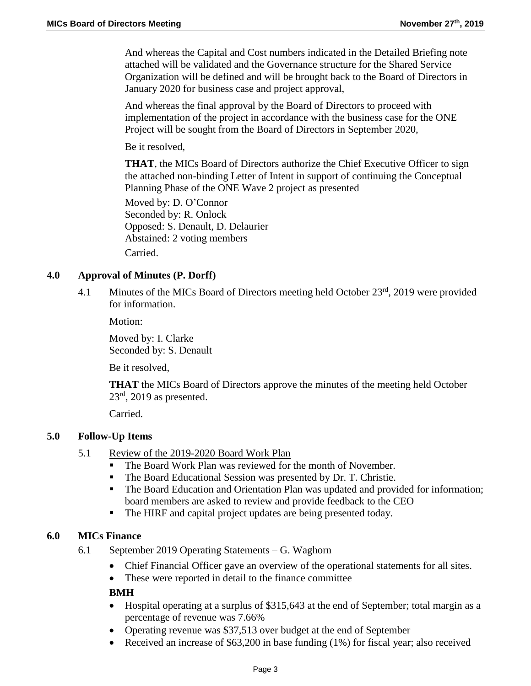And whereas the Capital and Cost numbers indicated in the Detailed Briefing note attached will be validated and the Governance structure for the Shared Service Organization will be defined and will be brought back to the Board of Directors in January 2020 for business case and project approval,

And whereas the final approval by the Board of Directors to proceed with implementation of the project in accordance with the business case for the ONE Project will be sought from the Board of Directors in September 2020,

Be it resolved,

**THAT**, the MICs Board of Directors authorize the Chief Executive Officer to sign the attached non-binding Letter of Intent in support of continuing the Conceptual Planning Phase of the ONE Wave 2 project as presented

Moved by: D. O'Connor Seconded by: R. Onlock Opposed: S. Denault, D. Delaurier Abstained: 2 voting members Carried.

## **4.0 Approval of Minutes (P. Dorff)**

4.1 Minutes of the MICs Board of Directors meeting held October 23<sup>rd</sup>, 2019 were provided for information.

Motion:

Moved by: I. Clarke Seconded by: S. Denault

Be it resolved,

**THAT** the MICs Board of Directors approve the minutes of the meeting held October  $23<sup>rd</sup>$ , 2019 as presented.

Carried.

### **5.0 Follow-Up Items**

- 5.1 Review of the 2019-2020 Board Work Plan
	- The Board Work Plan was reviewed for the month of November.
	- The Board Educational Session was presented by Dr. T. Christie.
	- The Board Education and Orientation Plan was updated and provided for information; board members are asked to review and provide feedback to the CEO
	- The HIRF and capital project updates are being presented today.

### **6.0 MICs Finance**

- 6.1 September 2019 Operating Statements G. Waghorn
	- Chief Financial Officer gave an overview of the operational statements for all sites.
	- These were reported in detail to the finance committee

### **BMH**

- Hospital operating at a surplus of \$315,643 at the end of September; total margin as a percentage of revenue was 7.66%
- Operating revenue was \$37,513 over budget at the end of September
- Received an increase of \$63,200 in base funding (1%) for fiscal year; also received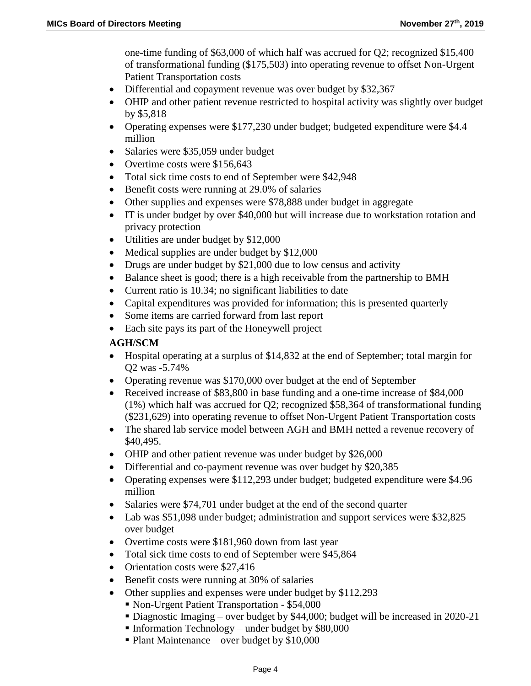one-time funding of \$63,000 of which half was accrued for Q2; recognized \$15,400 of transformational funding (\$175,503) into operating revenue to offset Non-Urgent Patient Transportation costs

- Differential and copayment revenue was over budget by \$32,367
- OHIP and other patient revenue restricted to hospital activity was slightly over budget by \$5,818
- Operating expenses were \$177,230 under budget; budgeted expenditure were \$4.4 million
- Salaries were \$35,059 under budget
- Overtime costs were \$156,643
- Total sick time costs to end of September were \$42,948
- Benefit costs were running at 29.0% of salaries
- Other supplies and expenses were \$78,888 under budget in aggregate
- IT is under budget by over \$40,000 but will increase due to workstation rotation and privacy protection
- Utilities are under budget by \$12,000
- Medical supplies are under budget by \$12,000
- Drugs are under budget by \$21,000 due to low census and activity
- Balance sheet is good; there is a high receivable from the partnership to BMH
- Current ratio is 10.34; no significant liabilities to date
- Capital expenditures was provided for information; this is presented quarterly
- Some items are carried forward from last report
- Each site pays its part of the Honeywell project

#### **AGH/SCM**

- Hospital operating at a surplus of \$14,832 at the end of September; total margin for Q2 was -5.74%
- Operating revenue was \$170,000 over budget at the end of September
- Received increase of \$83,800 in base funding and a one-time increase of \$84,000 (1%) which half was accrued for Q2; recognized \$58,364 of transformational funding (\$231,629) into operating revenue to offset Non-Urgent Patient Transportation costs
- The shared lab service model between AGH and BMH netted a revenue recovery of \$40,495.
- OHIP and other patient revenue was under budget by \$26,000
- Differential and co-payment revenue was over budget by \$20,385
- Operating expenses were \$112,293 under budget; budgeted expenditure were \$4.96 million
- Salaries were \$74,701 under budget at the end of the second quarter
- Lab was \$51,098 under budget; administration and support services were \$32,825 over budget
- Overtime costs were \$181,960 down from last year
- Total sick time costs to end of September were \$45,864
- Orientation costs were \$27,416
- Benefit costs were running at 30% of salaries
- Other supplies and expenses were under budget by \$112,293
	- Non-Urgent Patient Transportation \$54,000
	- Diagnostic Imaging over budget by \$44,000; budget will be increased in 2020-21
	- Information Technology under budget by  $$80,000$
	- $\blacksquare$  Plant Maintenance over budget by \$10,000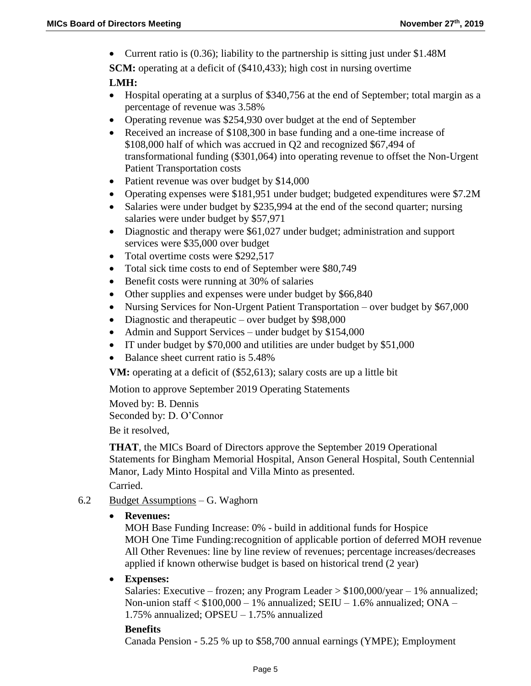Current ratio is (0.36); liability to the partnership is sitting just under \$1.48M

**SCM:** operating at a deficit of (\$410,433); high cost in nursing overtime

#### **LMH:**

- Hospital operating at a surplus of \$340,756 at the end of September; total margin as a percentage of revenue was 3.58%
- Operating revenue was \$254,930 over budget at the end of September
- Received an increase of \$108,300 in base funding and a one-time increase of \$108,000 half of which was accrued in Q2 and recognized \$67,494 of transformational funding (\$301,064) into operating revenue to offset the Non-Urgent Patient Transportation costs
- Patient revenue was over budget by \$14,000
- Operating expenses were \$181,951 under budget; budgeted expenditures were \$7.2M
- Salaries were under budget by \$235,994 at the end of the second quarter; nursing salaries were under budget by \$57,971
- Diagnostic and therapy were \$61,027 under budget; administration and support services were \$35,000 over budget
- Total overtime costs were \$292,517
- Total sick time costs to end of September were \$80,749
- Benefit costs were running at 30% of salaries
- Other supplies and expenses were under budget by \$66,840
- Nursing Services for Non-Urgent Patient Transportation over budget by \$67,000
- Diagnostic and therapeutic over budget by \$98,000
- Admin and Support Services under budget by \$154,000
- IT under budget by \$70,000 and utilities are under budget by \$51,000
- Balance sheet current ratio is 5.48%

**VM:** operating at a deficit of (\$52,613); salary costs are up a little bit

Motion to approve September 2019 Operating Statements

Moved by: B. Dennis Seconded by: D. O'Connor

Be it resolved,

**THAT**, the MICs Board of Directors approve the September 2019 Operational Statements for Bingham Memorial Hospital, Anson General Hospital, South Centennial Manor, Lady Minto Hospital and Villa Minto as presented. Carried.

- 6.2 Budget Assumptions G. Waghorn
	- **Revenues:**

MOH Base Funding Increase: 0% - build in additional funds for Hospice MOH One Time Funding:recognition of applicable portion of deferred MOH revenue All Other Revenues: line by line review of revenues; percentage increases/decreases applied if known otherwise budget is based on historical trend (2 year)

**Expenses:**

Salaries: Executive – frozen; any Program Leader  $> $100,000$ /year – 1% annualized; Non-union staff  $<$  \$100,000 – 1% annualized; SEIU – 1.6% annualized; ONA – 1.75% annualized; OPSEU – 1.75% annualized

#### **Benefits**

Canada Pension - 5.25 % up to \$58,700 annual earnings (YMPE); Employment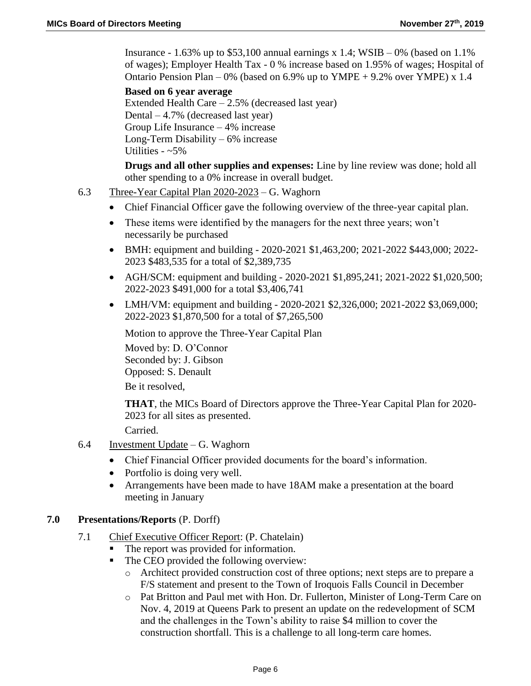Insurance - 1.63% up to  $$53,100$  annual earnings x 1.4; WSIB – 0% (based on 1.1%) of wages); Employer Health Tax - 0 % increase based on 1.95% of wages; Hospital of Ontario Pension Plan – 0% (based on 6.9% up to  $YMPE + 9.2%$  over  $YMPE$ ) x 1.4

### **Based on 6 year average**

Extended Health Care – 2.5% (decreased last year) Dental – 4.7% (decreased last year) Group Life Insurance – 4% increase Long-Term Disability – 6% increase Utilities -  $~5\%$ 

**Drugs and all other supplies and expenses:** Line by line review was done; hold all other spending to a 0% increase in overall budget.

- 6.3 Three-Year Capital Plan 2020-2023 G. Waghorn
	- Chief Financial Officer gave the following overview of the three-year capital plan.
	- These items were identified by the managers for the next three years; won't necessarily be purchased
	- BMH: equipment and building 2020-2021 \$1,463,200; 2021-2022 \$443,000; 2022- 2023 \$483,535 for a total of \$2,389,735
	- AGH/SCM: equipment and building 2020-2021 \$1,895,241; 2021-2022 \$1,020,500; 2022-2023 \$491,000 for a total \$3,406,741
	- LMH/VM: equipment and building 2020-2021 \$2,326,000; 2021-2022 \$3,069,000; 2022-2023 \$1,870,500 for a total of \$7,265,500

Motion to approve the Three-Year Capital Plan Moved by: D. O'Connor Seconded by: J. Gibson Opposed: S. Denault Be it resolved,

**THAT**, the MICs Board of Directors approve the Three-Year Capital Plan for 2020- 2023 for all sites as presented.

Carried.

- 6.4 Investment Update G. Waghorn
	- Chief Financial Officer provided documents for the board's information.
	- Portfolio is doing very well.
	- Arrangements have been made to have 18AM make a presentation at the board meeting in January

### **7.0 Presentations/Reports** (P. Dorff)

- 7.1 Chief Executive Officer Report: (P. Chatelain)
	- The report was provided for information.
	- The CEO provided the following overview:
		- o Architect provided construction cost of three options; next steps are to prepare a F/S statement and present to the Town of Iroquois Falls Council in December
		- o Pat Britton and Paul met with Hon. Dr. Fullerton, Minister of Long-Term Care on Nov. 4, 2019 at Queens Park to present an update on the redevelopment of SCM and the challenges in the Town's ability to raise \$4 million to cover the construction shortfall. This is a challenge to all long-term care homes.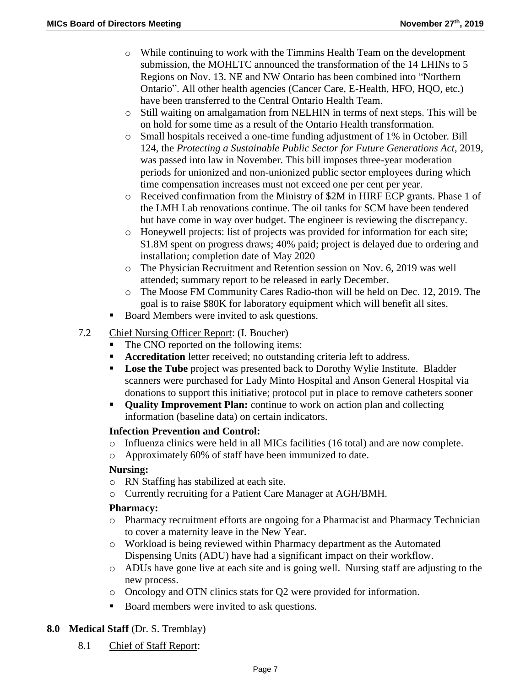- $\circ$  While continuing to work with the Timmins Health Team on the development submission, the MOHLTC announced the transformation of the 14 LHINs to 5 Regions on Nov. 13. NE and NW Ontario has been combined into "Northern Ontario". All other health agencies (Cancer Care, E-Health, HFO, HQO, etc.) have been transferred to the Central Ontario Health Team.
- o Still waiting on amalgamation from NELHIN in terms of next steps. This will be on hold for some time as a result of the Ontario Health transformation.
- o Small hospitals received a one-time funding adjustment of 1% in October. Bill 124, the *Protecting a Sustainable Public Sector for Future Generations Act*, 2019, was passed into law in November. This bill imposes three-year moderation periods for unionized and non-unionized public sector employees during which time compensation increases must not exceed one per cent per year.
- o Received confirmation from the Ministry of \$2M in HIRF ECP grants. Phase 1 of the LMH Lab renovations continue. The oil tanks for SCM have been tendered but have come in way over budget. The engineer is reviewing the discrepancy.
- o Honeywell projects: list of projects was provided for information for each site; \$1.8M spent on progress draws; 40% paid; project is delayed due to ordering and installation; completion date of May 2020
- o The Physician Recruitment and Retention session on Nov. 6, 2019 was well attended; summary report to be released in early December.
- o The Moose FM Community Cares Radio-thon will be held on Dec. 12, 2019. The goal is to raise \$80K for laboratory equipment which will benefit all sites.
- Board Members were invited to ask questions.
- 7.2 Chief Nursing Officer Report: (I. Boucher)
	- The CNO reported on the following items:
	- **Accreditation** letter received; no outstanding criteria left to address.
	- **Lose the Tube** project was presented back to Dorothy Wylie Institute. Bladder scanners were purchased for Lady Minto Hospital and Anson General Hospital via donations to support this initiative; protocol put in place to remove catheters sooner
	- **Quality Improvement Plan:** continue to work on action plan and collecting information (baseline data) on certain indicators.

### **Infection Prevention and Control:**

- o Influenza clinics were held in all MICs facilities (16 total) and are now complete.
- o Approximately 60% of staff have been immunized to date.

### **Nursing:**

- o RN Staffing has stabilized at each site.
- o Currently recruiting for a Patient Care Manager at AGH/BMH.

#### **Pharmacy:**

- o Pharmacy recruitment efforts are ongoing for a Pharmacist and Pharmacy Technician to cover a maternity leave in the New Year.
- o Workload is being reviewed within Pharmacy department as the Automated Dispensing Units (ADU) have had a significant impact on their workflow.
- o ADUs have gone live at each site and is going well. Nursing staff are adjusting to the new process.
- o Oncology and OTN clinics stats for Q2 were provided for information.
- Board members were invited to ask questions.

# **8.0 Medical Staff** (Dr. S. Tremblay)

8.1 Chief of Staff Report: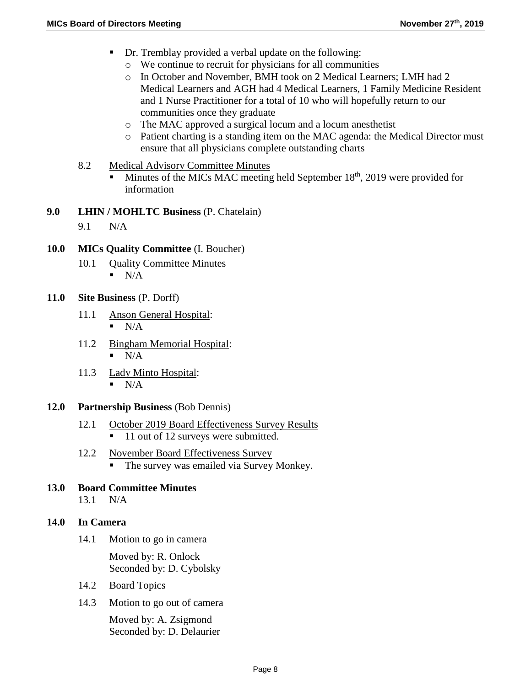- Dr. Tremblay provided a verbal update on the following:
	- o We continue to recruit for physicians for all communities
	- o In October and November, BMH took on 2 Medical Learners; LMH had 2 Medical Learners and AGH had 4 Medical Learners, 1 Family Medicine Resident and 1 Nurse Practitioner for a total of 10 who will hopefully return to our communities once they graduate
	- o The MAC approved a surgical locum and a locum anesthetist
	- o Patient charting is a standing item on the MAC agenda: the Medical Director must ensure that all physicians complete outstanding charts
- 8.2 Medical Advisory Committee Minutes
	- $\blacksquare$  Minutes of the MICs MAC meeting held September 18<sup>th</sup>, 2019 were provided for information
- **9.0 LHIN / MOHLTC Business** (P. Chatelain)
	- 9.1 N/A
- **10.0 MICs Quality Committee** (I. Boucher)
	- 10.1 Ouality Committee Minutes  $\blacksquare$  N/A
- **11.0 Site Business** (P. Dorff)
	- 11.1 Anson General Hospital:  $\blacksquare$  N/A
	- 11.2 Bingham Memorial Hospital:  $\blacksquare$  N/A
	- 11.3 Lady Minto Hospital:  $\blacksquare$  N/A
- **12.0 Partnership Business** (Bob Dennis)
	- 12.1 October 2019 Board Effectiveness Survey Results ■ 11 out of 12 surveys were submitted.
	- 12.2 November Board Effectiveness Survey
		- The survey was emailed via Survey Monkey.
- **13.0 Board Committee Minutes**
	- 13.1 N/A

#### **14.0 In Camera**

14.1 Motion to go in camera

Moved by: R. Onlock Seconded by: D. Cybolsky

- 14.2 Board Topics
- 14.3 Motion to go out of camera

Moved by: A. Zsigmond Seconded by: D. Delaurier